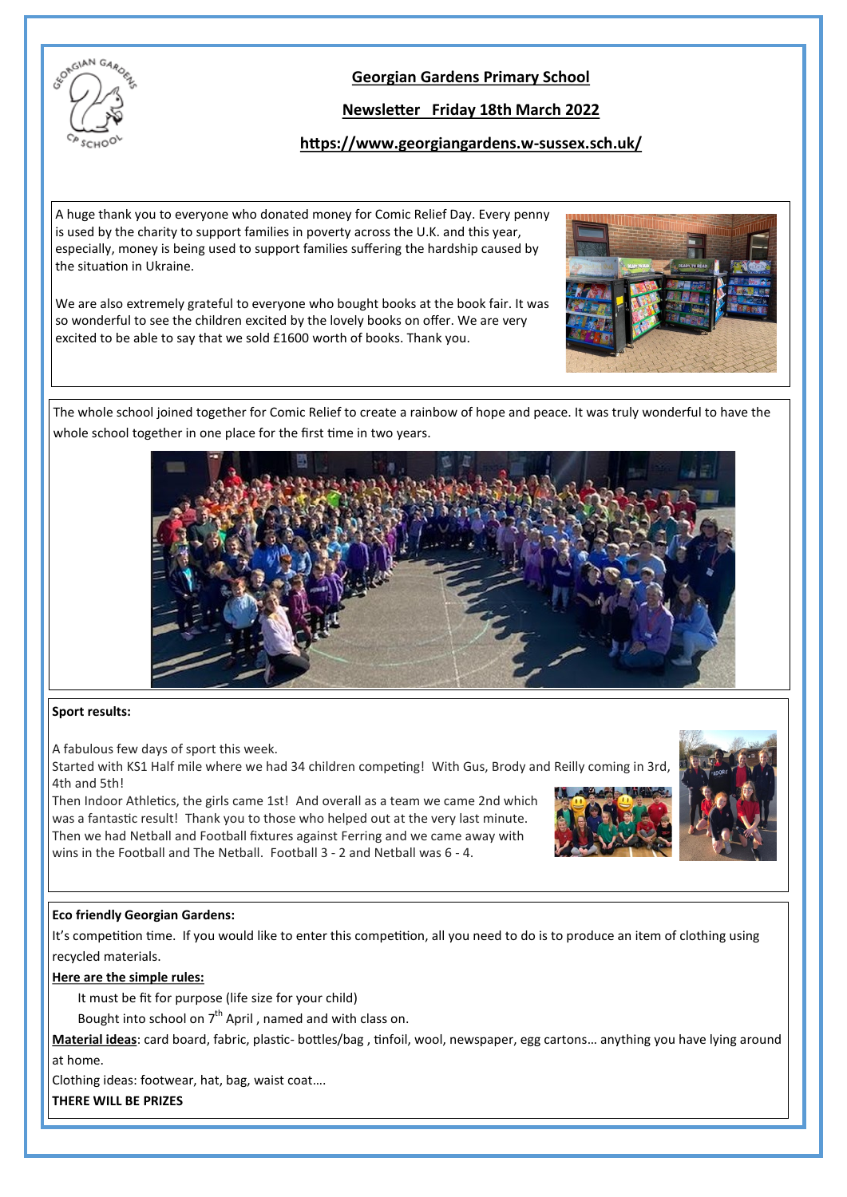

# **Georgian Gardens Primary School**

## **Newsletter Friday 18th March 2022**

## **https://www.georgiangardens.w-sussex.sch.uk/**

A huge thank you to everyone who donated money for Comic Relief Day. Every penny is used by the charity to support families in poverty across the U.K. and this year, especially, money is being used to support families suffering the hardship caused by the situation in Ukraine.

We are also extremely grateful to everyone who bought books at the book fair. It was so wonderful to see the children excited by the lovely books on offer. We are very excited to be able to say that we sold £1600 worth of books. Thank you.



The whole school joined together for Comic Relief to create a rainbow of hope and peace. It was truly wonderful to have the whole school together in one place for the first time in two years.



#### **Sport results:**

A fabulous few days of sport this week.

Started with KS1 Half mile where we had 34 children competing! With Gus, Brody and Reilly coming in 3rd, 4th and 5th!

Then Indoor Athletics, the girls came 1st! And overall as a team we came 2nd which was a fantastic result! Thank you to those who helped out at the very last minute. Then we had Netball and Football fixtures against Ferring and we came away with wins in the Football and The Netball. Football 3 - 2 and Netball was 6 - 4.





#### **Eco friendly Georgian Gardens:**

It's competition time. If you would like to enter this competition, all you need to do is to produce an item of clothing using recycled materials.

#### **Here are the simple rules:**

It must be fit for purpose (life size for your child)

Bought into school on  $7<sup>th</sup>$  April, named and with class on.

**Material ideas**: card board, fabric, plastic- bottles/bag , tinfoil, wool, newspaper, egg cartons… anything you have lying around at home.

Clothing ideas: footwear, hat, bag, waist coat….

**THERE WILL BE PRIZES**